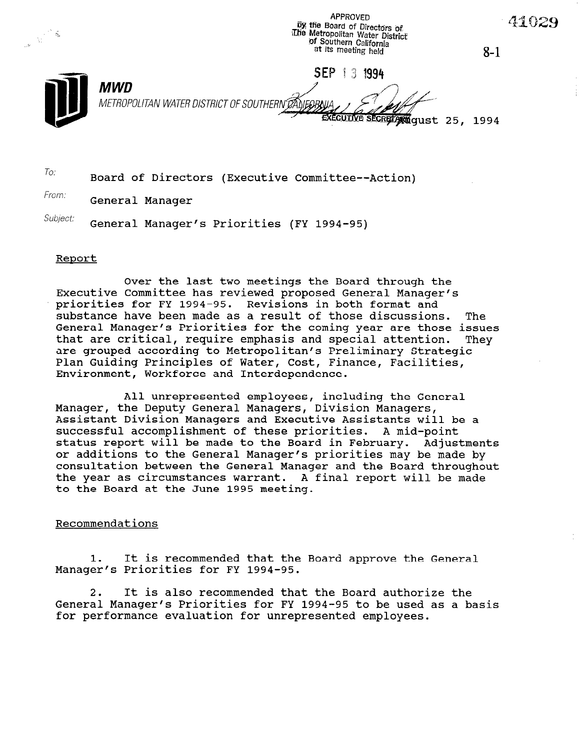by the Board of Directors of The Metropolitan Water District of Southern California at its meeting held  $8 - 1$ SEP 1 3 1994 MWD METROPOLITAN WATER DISTRICT OF SOUTHERN DANEORA iD EXECUTIVE SECRETARY QUSt 25, 1994

**APPROVED** 

 $T$ o: Board of Directors (Executive Committee--Action)

From: **General Manager** 

Subject: General Manager's Priorities (FY 1994-95)

#### Renort

Over the last two meetings the Board through the Executive Committee has reviewed proposed General Manager's priorities for FY 1994-95. Revisions in both format and substance have been made as a result of those discussions. The General Manager's Priorities for the coming year are those issues that are critical, require emphasis and special attention. They are grouped according to Metropolitan's Preliminary Strategic Plan Guiding Principles of Water, Cost, Finance, Facilities, Environment, Workforce and Interdependence.

All unrepresented employees, including the General Manager, the Deputy General Managers, Division Managers, Assistant Division Managers and Executive Assistants will be a successful accomplishment of these priorities. A mid-point status report will be made to the Board in February. Adjustments or additions to the General Manager's priorities may be made by consultation between the General Manager and the Board throughout the year as circumstances warrant. A final report will be made to the Board at the June 1995 meeting.

#### Recommendations

1. It is recommended that the Board approve the General Manager's Priorities for FY 1994-95.

2. It is also recommended that the Board authorize the Z. It is also recommended that the board authorize the for performance evaluation for unrepresented employees.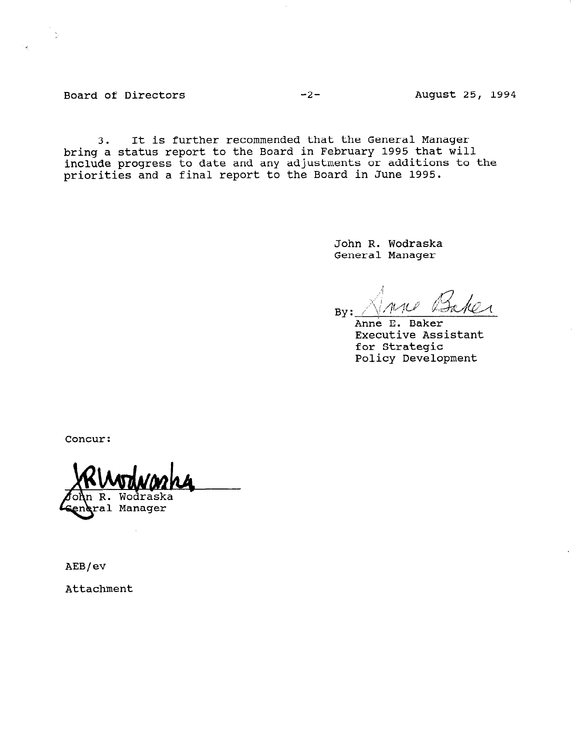Board of Directors -2- August 25, 1994

3. It is further recommended that the General Manager bring a status report to the Board in February 1995 that will include progress to date and any adjustments or additions to the priorities and a final report to the Board in June 1995.

> John R. Wodraska General Manager

 $\mathcal{A}$  $\sum_{\mu}$  ...

Anne E. Baker Executive Assistant for Strategic Policy Development

Concur:

Wodraska

ral Manager

AEB/ev

Attachment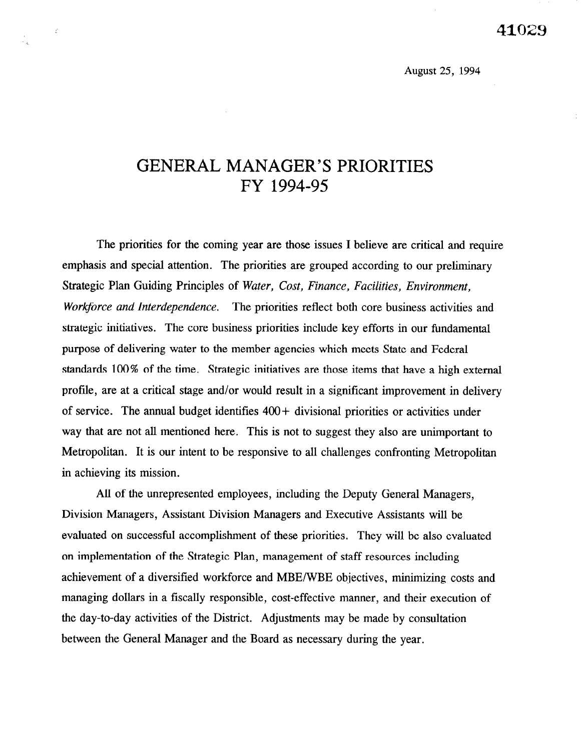August 25, 1994

# GENERAL MANAGER'S PRIORITIES FY 1994-95

 $\sim$   $\mathcal{L}$ 

The priorities for the coming year are those issues I believe are critical and require emphasis and special attention. The priorities are grouped according to our preliminary Strategic Plan Guiding Principles of Water, Cost, Finance, Facilities, Environment, Workforce and Interdependence. The priorities reflect both core business activities and strategic initiatives. The core business priorities include key efforts in our fundamental purpose of delivering water to the member agencies which meets State and Federal standards 100% of the time. Strategic initiatives are those items that have a high external profile, are at a critical stage and/or would result in a significant improvement in delivery of service. The annual budget identifies 400+ divisional priorities or activities under way that are not all mentioned here. This is not to suggest they also are unimportant to Metropolitan. It is our intent to be responsive to all challenges confronting Metropolitan in achieving its mission.

All of the unrepresented employees, including the Deputy General Managers, Division Managers, Assistant Division Managers and Executive Assistants will be evaluated on successful accomplishment of these priorities. They will be also evaluated on implementation of the Strategic Plan, management of staff resources including achievement of a diversified workforce and MBE/WBE objectives, minimizing costs and managing dollars in a fiscally responsible, cost-effective manner, and their execution of the day-to-day activities of the District. Adjustments may be made by consultation between the General Manager and the Board as necessary during the year.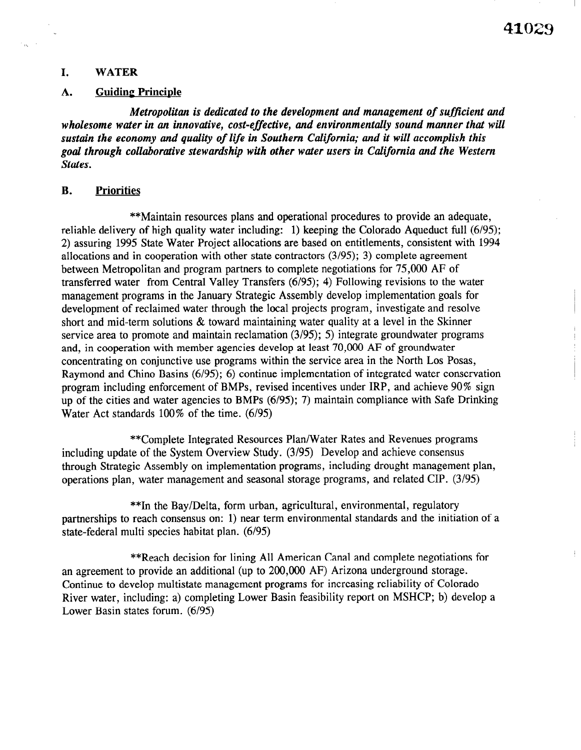#### I. WATER

#### A. Guiding Principle

Metropolitan is dedicated to the development and management of sufficient and wholesome water in an innovative, cost-effective, and environmentally sound manner that will sustain the economy and quality of life in Southern California; and it will accomplish this goal through collaborative stewardship with other water users in California and the Western States.

## B. Priorities

\*\*Maintain resources plans and operational procedures to provide an adequate, reliable delivery of high quality water including: 1) keeping the Colorado Aqueduct full (6/95); 2) assuring 1995 State Water Project allocations are based on entitlements, consistent with 1994 allocations and in cooperation with other state contractors (3/95); 3) complete agreement between Metropolitan and program partners to complete negotiations for 75,000 AF of transferred water from Central Valley Transfers (6/95); 4) Following revisions to the water management programs in the January Strategic Assembly develop implementation goals for development of reclaimed water through the local projects program, investigate and resolve short and mid-term solutions & toward maintaining water quality at a level in the Skinner service area to promote and maintain reclamation (3/95); 5) integrate groundwater programs and, in cooperation with member agencies develop at least 70,000 AF of groundwater concentrating on conjunctive use programs within the service area in the North Los Posas, Raymond and Chino Basins (6195); 6) continue implementation of integrated water conservation program including enforcement of BMPs, revised incentives under IRP, and achieve 90% sign up of the cities and water agencies to BMPs (6/95); 7) maintain compliance with Safe Drinking Water Act standards  $100\%$  of the time.  $(6/95)$ 

\*\*Complete Integrated Resources Plan/Water Rates and Revenues programs including update of the System Overview Study. (3/95) Develop and achieve consensus through Strategic Assembly on implementation programs, including drought management plan, operations plan, water management and seasonal storage programs, and related CIP. (3/95)

\*\*In the Bay/Delta, form urban, agricultural, environmental, regulatory partnerships to reach consensus on: 1) near term environmental standards and the initiation of a state-federal multi species habitat plan. (6/95)

\*\*Reach decision for lining All American Canal and complete negotiations for an agreement to provide an additional (up to 200,000 AF) Arizona underground storage. Continue to develop multistate management programs for increasing reliability of Colorado River water, including: a) completing Lower Basin feasibility report on MSHCP; b) develop a Lower Basin states forum. (6/95)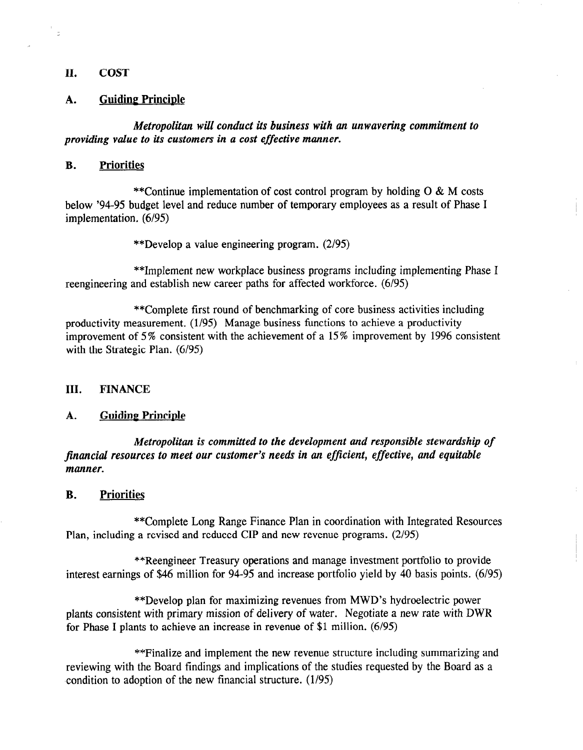# II. COST

 $\overline{z}$ 

#### A. Guiding Principle

Metropolitan will conduct its business with an unwavering commitment to providing value to its customers in a cost effective manner.

#### B. Priorities

\*\*Continue implementation of cost control program by holding 0 & M costs below '94-95 budget level and reduce number of temporary employees as a result of Phase I implementation. (6/95)

\*\*Develop a value engineering program. (2/95)

\*\*Implement new workplace business programs including implementing Phase I reengineering and establish new career paths for affected workforce. (6/95)

\*\*Complete first round of benchmarking of core business activities including productivity measurement. (1/95) Manage business functions to achieve a productivity improvement of 5% consistent with the achievement of a 15% improvement by 1996 consistent with the Strategic Plan.  $(6/95)$ 

#### III. FINANCE

#### A. Guidine Principle

Metropolitan is committed to the development and responsible stewardship of metropolitan is commuted to the development and responsible stewardship jinancii

# B. Priorities

\*\*Complete Long Range Finance Plan in coordination with Integrated Resources<br>Plan, including a revised and reduced CIP and new revenue programs. (2/95)

\*\*Reengineer Treasury operations and manage investment portfolio to provide<br>interest earnings of \$46 million for 94-95 and increase portfolio yield by 40 basis points. (6/95)

\*\*Develop plan for maximizing revenues from MWD's hydroelectric power. plants consistent with primary mission of delivery of water. Negotiate a new rate with DWR for Phase I plants to achieve an increase in revenue of \$1 million.  $(6/95)$ 

\*\* Finalize and implement the new revenue structure including summarizing and reviewing with the Board findings and implications of the studies requested by the Board as a condition to adoption of the new financial structure. (1/95)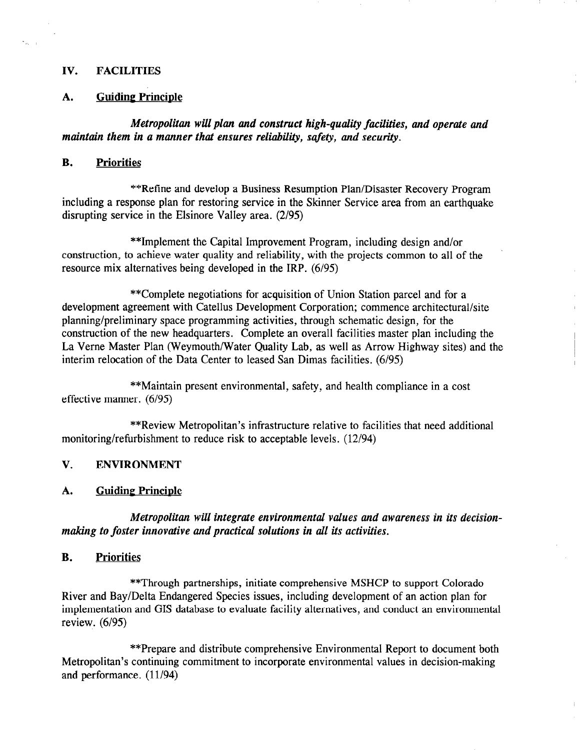#### IV. FACILITIES

#### A. Guiding Principle

Metropolitan will plan and constract high-quality facilities, and operate and maintain them in a manner that ensures reliability, safety, and security.

## B. Priorities

\*\*Refine and develop a Business Resumption Plan/Disaster Recovery Program including a response plan for restoring service in the Skinner Service area from an earthquake disrupting service in the Elsinore Valley area. (2/95)

\*\*Implement the Capital Improvement Program, including design and/or construction, to achieve water quality and reliability, with the projects common to all of the resource mix alternatives being developed in the IRP. (6/95)

\*\*Complete negotiations for acquisition of Union Station parcel and for a development agreement with Catellus Development Corporation; commence architectural/site planning/preliminary space programming activities, through schematic design, for the construction of the new headquarters. Complete an overall facilities master plan including the La Verne Master Plan (Weymouth/Water Quality Lab, as well as Arrow Highway sites) and the interim relocation of the Data Center to leased San Dimas facilities. (6/95)

\*\*Maintain present environmental, safety, and health compliance in a cost effective manner. (6/95)

\*\*Review Metropolitan's infrastructure relative to facilities that need additional monitoring/refurbishment to reduce risk to acceptable levels. (12/94)

# V. ENVIRONMENT

# A. Guiding Principle

Metropolitan will integrate environmental values and awareness in its decisionmaking to foster innovative and practical solutions in all its activities.

# B. Priorities

\*\*Through partnerships, initiate comprehensive MSHCP to support Colorado River and Bay/Delta Endangered Species issues, including development of an action plan for implementation and GIS database to evaluate facility alternatives, and conduct an environmental review. (6/95)

\*\*Prepare and distribute comprehensive Environmental Report to document both Metropolitan's continuing commitment to incorporate environmental values in decision-making and performance. (11/94)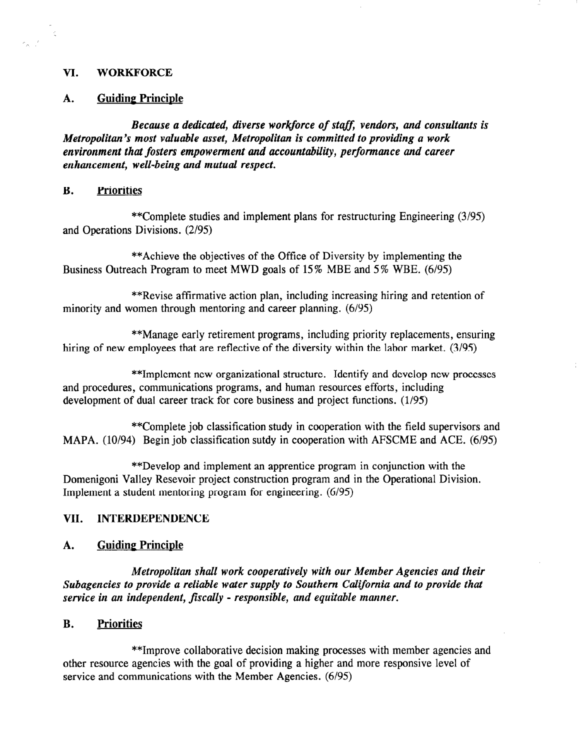#### VI. WORKFORCE

 $\mathcal{L}$ 

a)<br>Ali

#### A. Guiding Principle

Because a dedicated, diverse workforce of staff, vendors, and consultants is Metropolitan's most valuable asset, Metropolitan is committed to providing a work environment that fosters empowerment and accountability, performance and career enhancement, well-being and mutual respect.

#### B. Priorities

\*\*Complete studies and implement plans for restructuring Engineering (3/95) and Operations Divisions. (2/95)

\*\*Achieve the objectives of the Office of Diversity by implementing the Business Outreach Program to meet MWD goals of 15% MBE and 5% WBE. (6/95)

\*\*Revise affirmative action plan, including increasing hiring and retention of minority and women through mentoring and career planning. (6/95)

\*\*Manage early retirement programs, including priority replacements, ensuring hiring of new employees that are reflective of the diversity within the labor market. (3/95)

\*\*Implement new organizational structure. Identify and develop new processes and procedures, communications programs, and human resources efforts, including development of dual career track for core business and project functions.  $(1/95)$ 

\*\*Complete job classification study in cooperation with the field supervisors and MAPA. (10/94) Begin job classification sutdy in cooperation with AFSCME and ACE. (6/95)

\*\*Develop and implement an apprentice program in conjunction with the Domenigoni Valley Resevoir project construction program and in the Operational Division. Implement a student mentoring program for engineering. (6195)

#### VII. INTERDEPENDENCE

#### A. Guiding Principle

Metropolitan shall work cooperatively with our Member Agencies and their Subagencies to provide a reliable water supply to Southern California and to provide that service in an independent, fiscally - responsible, and equitable manner.

# B. Priorities

\*\*Improve collaborative decision making processes with member agencies and other resource agencies with the goal of providing a higher and more responsive level of service and communications with the Member Agencies. (6/95)